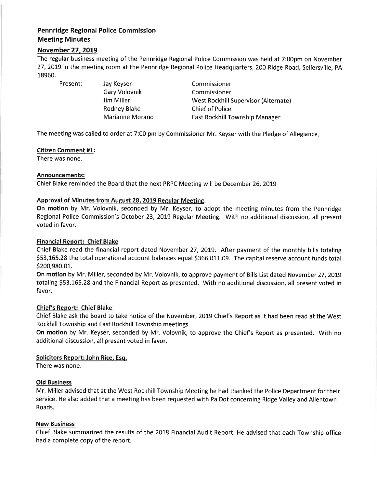# Pennridge Regional Police Commission Meeting Minutes

## November 27, 2019

The regular business meeting of the Pennridge Regional Police Commission was held at 7:00pm on November 27,2019 in the meeting room at the Pennridge Regional Police Headquarters, 200 Ridge Road, Sellersville, PA 18960.

Present: Jay Keyser Gary Volovnik Jim Miller Rodney Blake Marianne Morano

Commissioner Commissioner West Rockhill Supervisor (Alternate) Chief of Police East Rockhill Township Manager

The meeting was called to order at 7:00 pm by Commissioner Mr. Keyser with the Pledge of Allegiance

#### Citizen Comment #1:

There was none.

#### Announcements:

Chief Blake reminded the Board that the next PRPC Meeting will be December 26,20t9

## Approval of Minutes from August 28, 2019 Regular Meeting

On motion by Mr. Volovnik, seconded by Mr. Keyser, to adopt the meeting minutes from the Pennridge Regional Police Commission's October 23,2019 Regular Meeting. With no additional discussion, all present voted in favor.

## Financial Report: Chief Blake

Chief Blake read the financial report dated November 27, 2019. After payment of the monthly bills totaling \$53,165.28 the total operational account balances equal \$366,011.09. The capital reserve account funds total 5200,980.0L.

On motion by Mr. Miller, seconded by Mr. Volovnik, to approve payment of Bills List dated November 27,20L9 totaling S53,165.28 and the Financial Report as presented. With no additional discussion, all present voted in favor.

## Chief's Report: Chief Blake

Chief Blake ask the Board to take notice of the November, 2019 Chiefs Report as it had been read at the West RockhillTownship and East Rockhill Township meetings.

On motion by Mr. Keyser, seconded by Mr. Volovnik, to approve the Chief's Report as presented. With no additional discussion, all present voted in favor.

## Solicitors Report: John Rice, Esq.

There was none.

## Old Business

Mr. Miller advised that at the West Rockhill Township Meeting he had thanked the Police Department for their service. He also added that a meeting has been requested with Pa Dot concerning Ridge Valley and Allentown Roads.

## New Business

Chief Blake summarized the results of the 2018 Financial Audit Report. He advised that each Township office had a complete copy of the report.